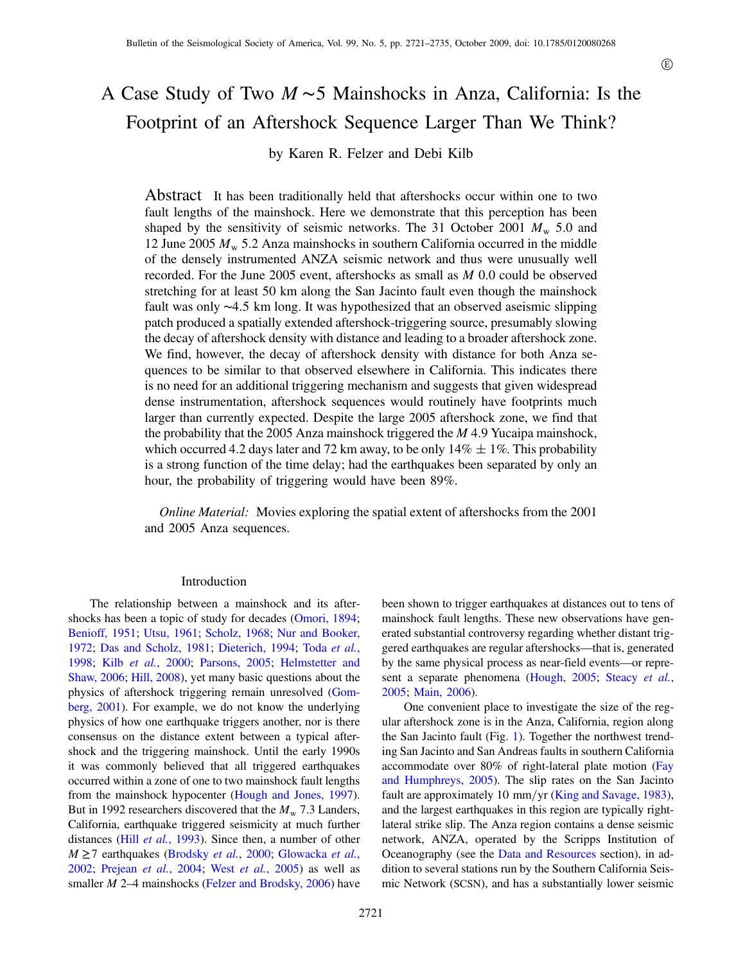# A Case Study of Two <sup>M</sup> <sup>∼</sup><sup>5</sup> Mainshocks in Anza, California: Is the Footprint of an Aftershock Sequence Larger Than We Think?

by Karen R. Felzer and Debi Kilb

Abstract It has been traditionally held that aftershocks occur within one to two fault lengths of the mainshock. Here we demonstrate that this perception has been shaped by the sensitivity of seismic networks. The 31 October 2001  $M_{\rm w}$  5.0 and 12 June 2005  $M_{\rm w}$  5.2 Anza mainshocks in southern California occurred in the middle of the densely instrumented ANZA seismic network and thus were unusually well recorded. For the June 2005 event, aftershocks as small as M 0.0 could be observed stretching for at least 50 km along the San Jacinto fault even though the mainshock fault was only <sup>∼</sup>4:<sup>5</sup> km long. It was hypothesized that an observed aseismic slipping patch produced a spatially extended aftershock-triggering source, presumably slowing the decay of aftershock density with distance and leading to a broader aftershock zone. We find, however, the decay of aftershock density with distance for both Anza sequences to be similar to that observed elsewhere in California. This indicates there is no need for an additional triggering mechanism and suggests that given widespread dense instrumentation, aftershock sequences would routinely have footprints much larger than currently expected. Despite the large 2005 aftershock zone, we find that the probability that the 2005 Anza mainshock triggered the M 4.9 Yucaipa mainshock, which occurred 4.2 days later and 72 km away, to be only  $14\% \pm 1\%$ . This probability is a strong function of the time delay; had the earthquakes been separated by only an hour, the probability of triggering would have been 89%.

Online Material: Movies exploring the spatial extent of aftershocks from the 2001 and 2005 Anza sequences.

# Introduction

The relationship between a mainshock and its aftershocks has been a topic of study for decades ([Omori, 1894](#page-13-0); [Benioff, 1951;](#page-12-0) [Utsu, 1961;](#page-13-1) [Scholz, 1968;](#page-13-2) [Nur and Booker,](#page-13-3) [1972](#page-13-3); [Das and Scholz, 1981](#page-12-1); [Dieterich, 1994;](#page-12-2) Toda [et al.](#page-13-4), [1998](#page-13-4); Kilb et al.[, 2000;](#page-13-5) [Parsons, 2005;](#page-13-6) [Helmstetter and](#page-13-7) [Shaw, 2006;](#page-13-7) [Hill, 2008](#page-13-8)), yet many basic questions about the physics of aftershock triggering remain unresolved ([Gom](#page-13-9)[berg, 2001\)](#page-13-9). For example, we do not know the underlying physics of how one earthquake triggers another, nor is there consensus on the distance extent between a typical aftershock and the triggering mainshock. Until the early 1990s it was commonly believed that all triggered earthquakes occurred within a zone of one to two mainshock fault lengths from the mainshock hypocenter ([Hough and Jones, 1997](#page-13-10)). But in 1992 researchers discovered that the  $M_{\rm w}$  7.3 Landers, California, earthquake triggered seismicity at much further distances (Hill et al.[, 1993\)](#page-13-11). Since then, a number of other  $M \ge 7$  earthquakes [\(Brodsky](#page-12-3) et al., 2000; [Glowacka](#page-13-12) et al., [2002](#page-13-12); [Prejean](#page-13-13) et al., 2004; West et al.[, 2005\)](#page-13-14) as well as smaller *M* 2–4 mainshocks [\(Felzer and Brodsky, 2006\)](#page-13-15) have

been shown to trigger earthquakes at distances out to tens of mainshock fault lengths. These new observations have generated substantial controversy regarding whether distant triggered earthquakes are regular aftershocks—that is, generated by the same physical process as near-field events—or repre-sent a separate phenomena ([Hough, 2005](#page-13-16); [Steacy](#page-13-17) et al., [2005](#page-13-17); [Main, 2006](#page-13-18)).

One convenient place to investigate the size of the regular aftershock zone is in the Anza, California, region along the San Jacinto fault (Fig. [1](#page-1-0)). Together the northwest trending San Jacinto and San Andreas faults in southern California accommodate over 80% of right-lateral plate motion [\(Fay](#page-12-4) [and Humphreys, 2005\)](#page-12-4). The slip rates on the San Jacinto fault are approximately 10 mm/yr [\(King and Savage, 1983](#page-13-19)), and the largest earthquakes in this region are typically rightlateral strike slip. The Anza region contains a dense seismic network, ANZA, operated by the Scripps Institution of Oceanography (see the [Data and Resources](#page-12-5) section), in addition to several stations run by the Southern California Seismic Network (SCSN), and has a substantially lower seismic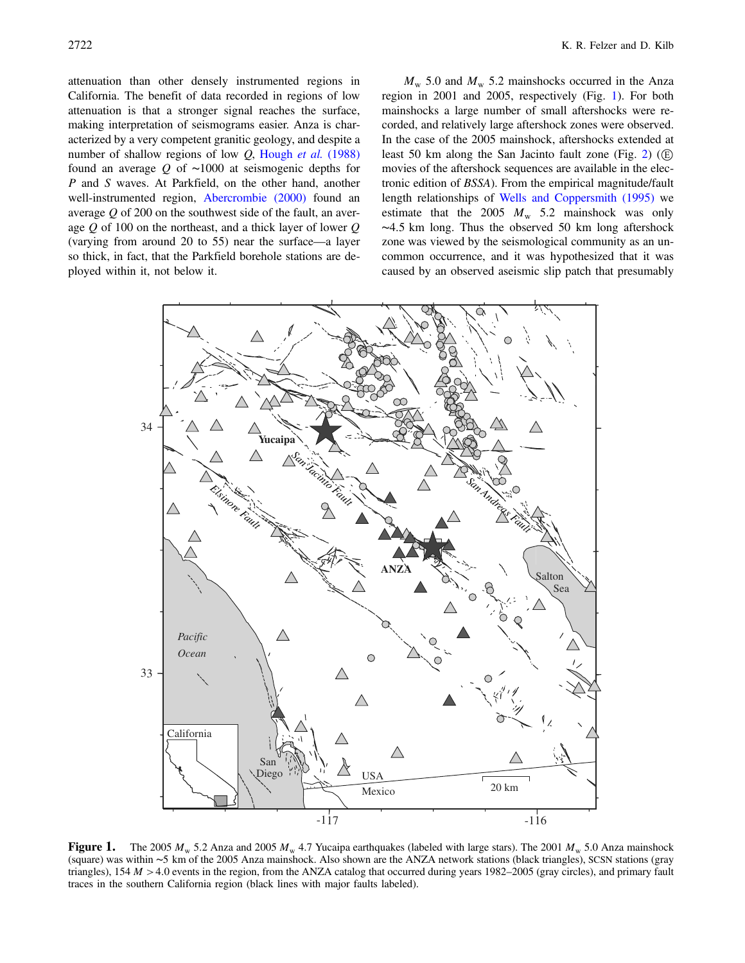attenuation than other densely instrumented regions in California. The benefit of data recorded in regions of low attenuation is that a stronger signal reaches the surface, making interpretation of seismograms easier. Anza is characterized by a very competent granitic geology, and despite a number of shallow regions of low  $Q$ , [Hough](#page-13-20) et al. (1988) found an average <sup>Q</sup> of <sup>∼</sup><sup>1000</sup> at seismogenic depths for P and S waves. At Parkfield, on the other hand, another well-instrumented region, [Abercrombie \(2000\)](#page-12-6) found an average  $Q$  of 200 on the southwest side of the fault, an average  $Q$  of 100 on the northeast, and a thick layer of lower  $Q$ (varying from around 20 to 55) near the surface—a layer so thick, in fact, that the Parkfield borehole stations are deployed within it, not below it.

 $M_{\rm w}$  5.0 and  $M_{\rm w}$  5.2 mainshocks occurred in the Anza region in 2001 and 2005, respectively (Fig. [1\)](#page-1-0). For both mainshocks a large number of small aftershocks were recorded, and relatively large aftershock zones were observed. In the case of the 2005 mainshock, aftershocks extended at least 50 km along the San Jacinto fault zone (Fig. [2\)](#page-2-0) ( $(E)$ ) movies of the aftershock sequences are available in the electronic edition of BSSA). From the empirical magnitude/fault length relationships of [Wells and Coppersmith \(1995\)](#page-13-21) we estimate that the 2005  $M_w$  5.2 mainshock was only <sup>∼</sup>4:<sup>5</sup> km long. Thus the observed 50 km long aftershock zone was viewed by the seismological community as an uncommon occurrence, and it was hypothesized that it was caused by an observed aseismic slip patch that presumably

<span id="page-1-0"></span>

**Figure 1.** The 2005  $M_w$  5.2 Anza and 2005  $M_w$  4.7 Yucaipa earthquakes (labeled with large stars). The 2001  $M_w$  5.0 Anza mainshock (square) was within <sup>∼</sup><sup>5</sup> km of the 2005 Anza mainshock. Also shown are the ANZA network stations (black triangles), SCSN stations (gray triangles),  $154 M > 4.0$  events in the region, from the ANZA catalog that occurred during years  $1982-2005$  (gray circles), and primary fault traces in the southern California region (black lines with major faults labeled).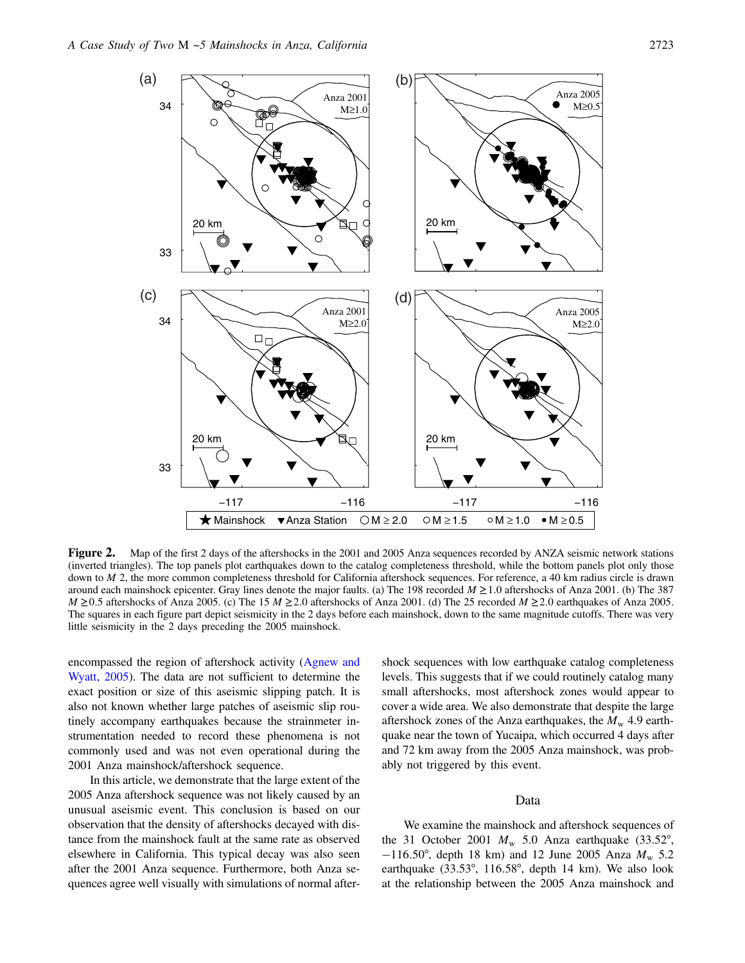<span id="page-2-0"></span>

**Figure 2.** Map of the first 2 days of the aftershocks in the 2001 and 2005 Anza sequences recorded by ANZA seismic network stations (inverted triangles). The top panels plot earthquakes down to the catalog completeness th down to  $M$  2, the more common completeness threshold for California aftershock sequences. For reference, a 40 km radius circle is drawn around each mainshock epicenter. Gray lines denote the major faults. (a) The 198 recorded  $M \ge 1.0$  aftershocks of Anza 2001. (b) The 387  $M \ge 0.5$  aftershocks of Anza 2005. (c) The 15  $M \ge 2.0$  aftershocks of Anza 2001. (d) The 25 recorded  $M \ge 2.0$  earthquakes of Anza 2005. The squares in each figure part depict seismicity in the 2 days before each mainshock, down to the same magnitude cutoffs. There was very little seismicity in the 2 days preceding the 2005 mainshock.

encompassed the region of aftershock activity ([Agnew and](#page-12-7) [Wyatt, 2005\)](#page-12-7). The data are not sufficient to determine the exact position or size of this aseismic slipping patch. It is also not known whether large patches of aseismic slip routinely accompany earthquakes because the strainmeter instrumentation needed to record these phenomena is not commonly used and was not even operational during the 2001 Anza mainshock/aftershock sequence.

In this article, we demonstrate that the large extent of the 2005 Anza aftershock sequence was not likely caused by an unusual aseismic event. This conclusion is based on our observation that the density of aftershocks decayed with distance from the mainshock fault at the same rate as observed elsewhere in California. This typical decay was also seen after the 2001 Anza sequence. Furthermore, both Anza sequences agree well visually with simulations of normal aftershock sequences with low earthquake catalog completeness levels. This suggests that if we could routinely catalog many small aftershocks, most aftershock zones would appear to cover a wide area. We also demonstrate that despite the large aftershock zones of the Anza earthquakes, the  $M_{\rm w}$  4.9 earthquake near the town of Yucaipa, which occurred 4 days after and 72 km away from the 2005 Anza mainshock, was probably not triggered by this event.

## Data

We examine the mainshock and aftershock sequences of the 31 October 2001  $M_{\rm w}$  5.0 Anza earthquake (33.52°,  $-116.50^{\circ}$ , depth 18 km) and 12 June 2005 Anza  $M_{\rm w}$  5.2 earthquake (33.53°, 116:58°, depth 14 km). We also look at the relationship between the 2005 Anza mainshock and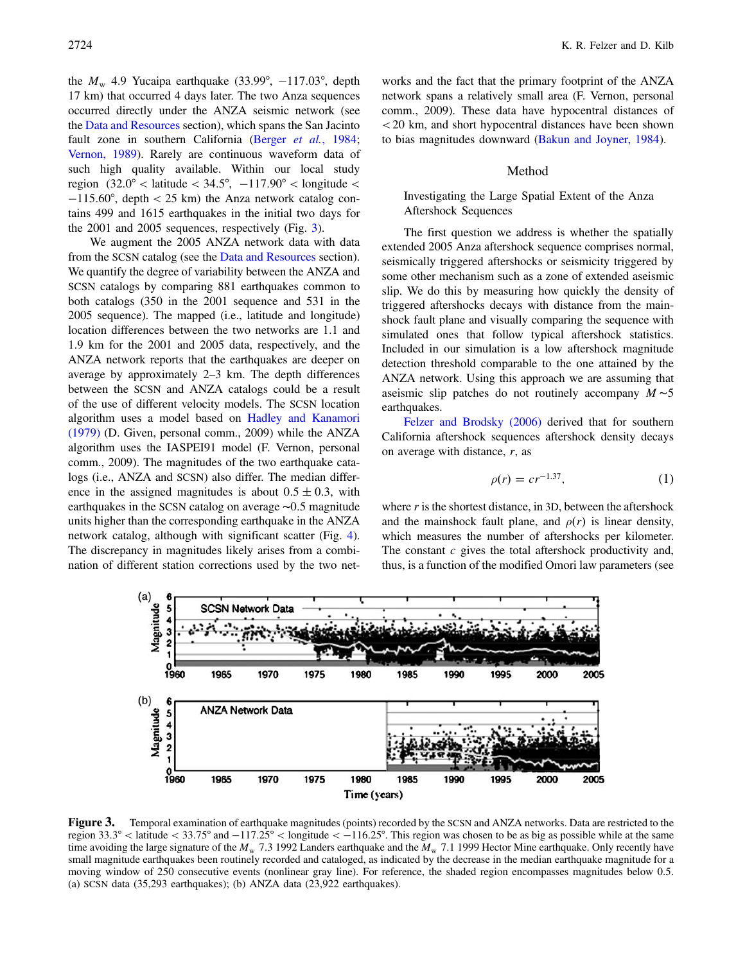the  $M_{\rm w}$  4.9 Yucaipa earthquake (33.99°, -117.03°, depth 17 km) that occurred 4 days later. The two Anza sequences occurred directly under the ANZA seismic network (see the [Data and Resources](#page-12-5) section), which spans the San Jacinto fault zone in southern California (Berger et al.[, 1984](#page-12-8); [Vernon, 1989](#page-13-22)). Rarely are continuous waveform data of such high quality available. Within our local study region  $(32.0^{\circ} <$  latitude  $< 34.5^{\circ}, -117.90^{\circ} <$  longitude  $<$ -115:60°, depth < 25 km) the Anza network catalog contains 499 and 1615 earthquakes in the initial two days for the 2001 and 2005 sequences, respectively (Fig. [3](#page-3-0)).

We augment the 2005 ANZA network data with data from the SCSN catalog (see the [Data and Resources](#page-12-5) section). We quantify the degree of variability between the ANZA and SCSN catalogs by comparing 881 earthquakes common to both catalogs (350 in the 2001 sequence and 531 in the 2005 sequence). The mapped (i.e., latitude and longitude) location differences between the two networks are 1.1 and 1.9 km for the 2001 and 2005 data, respectively, and the ANZA network reports that the earthquakes are deeper on average by approximately 2–3 km. The depth differences between the SCSN and ANZA catalogs could be a result of the use of different velocity models. The SCSN location algorithm uses a model based on [Hadley and Kanamori](#page-13-23) [\(1979\)](#page-13-23) (D. Given, personal comm., 2009) while the ANZA algorithm uses the IASPEI91 model (F. Vernon, personal comm., 2009). The magnitudes of the two earthquake catalogs (i.e., ANZA and SCSN) also differ. The median difference in the assigned magnitudes is about  $0.5 \pm 0.3$ , with earthquakes in the SCSN catalog on average <sup>∼</sup>0:<sup>5</sup> magnitude units higher than the corresponding earthquake in the ANZA network catalog, although with significant scatter (Fig. [4](#page-4-0)). The discrepancy in magnitudes likely arises from a combination of different station corrections used by the two networks and the fact that the primary footprint of the ANZA network spans a relatively small area (F. Vernon, personal comm., 2009). These data have hypocentral distances of <20 km, and short hypocentral distances have been shown to bias magnitudes downward [\(Bakun and Joyner, 1984](#page-12-9)).

#### Method

# Investigating the Large Spatial Extent of the Anza Aftershock Sequences

The first question we address is whether the spatially extended 2005 Anza aftershock sequence comprises normal, seismically triggered aftershocks or seismicity triggered by some other mechanism such as a zone of extended aseismic slip. We do this by measuring how quickly the density of triggered aftershocks decays with distance from the mainshock fault plane and visually comparing the sequence with simulated ones that follow typical aftershock statistics. Included in our simulation is a low aftershock magnitude detection threshold comparable to the one attained by the ANZA network. Using this approach we are assuming that aseismic slip patches do not routinely accompany  $M \sim 5$ earthquakes.

<span id="page-3-1"></span>[Felzer and Brodsky \(2006\)](#page-13-15) derived that for southern California aftershock sequences aftershock density decays on average with distance,  $r$ , as

$$
\rho(r) = cr^{-1.37},\tag{1}
$$

where  $r$  is the shortest distance, in 3D, between the aftershock and the mainshock fault plane, and  $\rho(r)$  is linear density, which measures the number of aftershocks per kilometer. The constant  $c$  gives the total aftershock productivity and, thus, is a function of the modified Omori law parameters (see

<span id="page-3-0"></span>

**Figure 3.** Temporal examination of earthquake magnitudes (points) recorded by the SCSN and ANZA networks. Data are restricted to the region 33.3° < latitude < 33.75° and  $-117.25$ ° < longitude <  $-116.25$ °. This region w time avoiding the large signature of the  $M_w$  7.3 1992 Landers earthquake and the  $M_w$  7.1 1999 Hector Mine earthquake. Only recently have small magnitude earthquakes been routinely recorded and cataloged, as indicated by the decrease in the median earthquake magnitude for a moving window of 250 consecutive events (nonlinear gray line). For reference, the shaded region encompasses magnitudes below 0.5. (a) SCSN data (35,293 earthquakes); (b) ANZA data (23,922 earthquakes).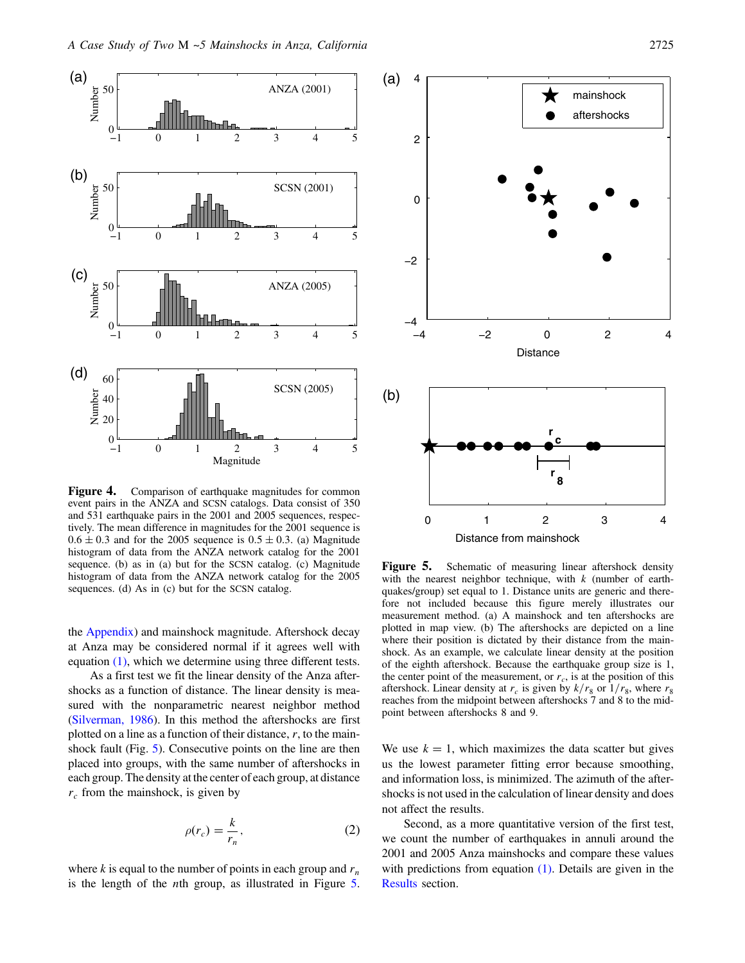<span id="page-4-0"></span>

Figure 4. Comparison of earthquake magnitudes for common event pairs in the ANZA and SCSN catalogs. Data consist of 350 and 531 earthquake pairs in the 2001 and 2005 sequences, respectively. The mean difference in magnitudes for the 2001 sequence is  $0.6 \pm 0.3$  and for the 2005 sequence is  $0.5 \pm 0.3$ . (a) Magnitude histogram of data from the ANZA network catalog for the 2001 sequence. (b) as in (a) but for the SCSN catalog. (c) Magnitude histogram of data from the ANZA network catalog for the 2005 sequences. (d) As in (c) but for the SCSN catalog.

the Appendix) and mainshock magnitude. Aftershock decay at Anza may be considered normal if it agrees well with equation [\(1\)](#page-3-1), which we determine using three different tests.

As a first test we fit the linear density of the Anza aftershocks as a function of distance. The linear density is measured with the nonparametric nearest neighbor method [\(Silverman, 1986](#page-13-24)). In this method the aftershocks are first plotted on a line as a function of their distance,  $r$ , to the main-shock fault (Fig. [5](#page-4-1)). Consecutive points on the line are then placed into groups, with the same number of aftershocks in each group. The density at the center of each group, at distance  $r_c$  from the mainshock, is given by

$$
\rho(r_c) = \frac{k}{r_n},\tag{2}
$$

where k is equal to the number of points in each group and  $r_n$ is the length of the nth group, as illustrated in Figure [5](#page-4-1).

<span id="page-4-1"></span>

**Figure 5.** Schematic of measuring linear aftershock density with the nearest neighbor technique, with  $k$  (number of earthquakes/group) set equal to 1. Distance units are generic and therefore not included because this figure merely illustrates our measurement method. (a) A mainshock and ten aftershocks are plotted in map view. (b) The aftershocks are depicted on a line where their position is dictated by their distance from the mainshock. As an example, we calculate linear density at the position of the eighth aftershock. Because the earthquake group size is 1, the center point of the measurement, or  $r_c$ , is at the position of this aftershock. Linear density at  $r_c$  is given by  $k/r_8$  or  $1/r_8$ , where  $r_8$ reaches from the midpoint between aftershocks 7 and 8 to the midpoint between aftershocks 8 and 9.

We use  $k = 1$ , which maximizes the data scatter but gives us the lowest parameter fitting error because smoothing, and information loss, is minimized. The azimuth of the aftershocks is not used in the calculation of linear density and does not affect the results.

Second, as a more quantitative version of the first test, we count the number of earthquakes in annuli around the 2001 and 2005 Anza mainshocks and compare these values with predictions from equation  $(1)$ . Details are given in the [Results](#page-7-0) section.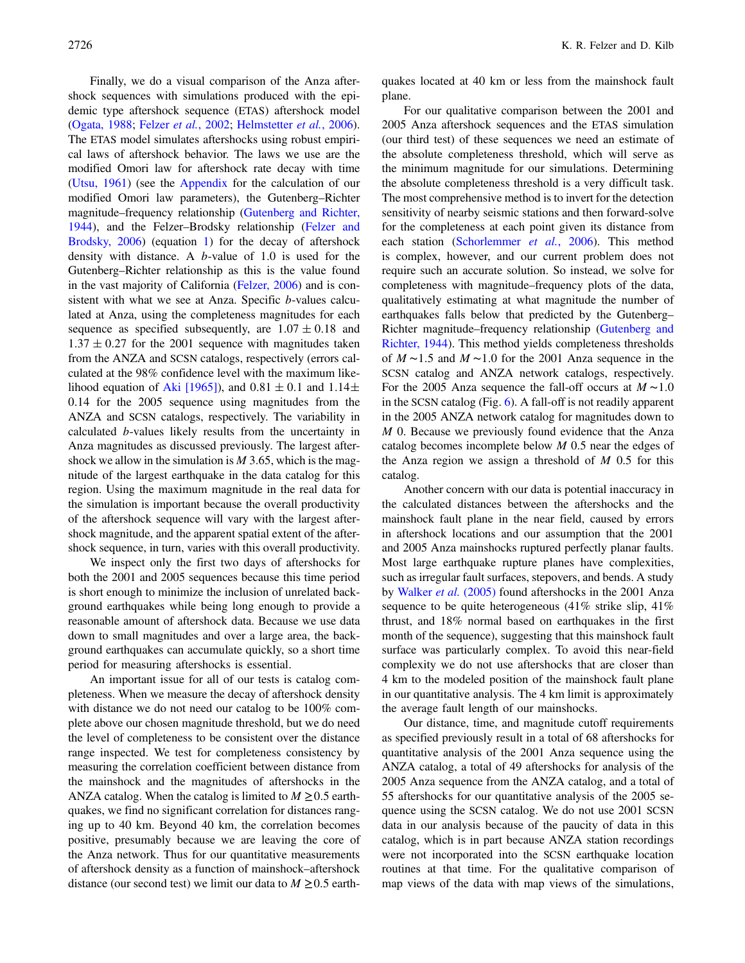Finally, we do a visual comparison of the Anza aftershock sequences with simulations produced with the epidemic type aftershock sequence (ETAS) aftershock model [\(Ogata, 1988;](#page-13-25) Felzer et al.[, 2002;](#page-13-26) [Helmstetter](#page-13-27) et al., 2006). The ETAS model simulates aftershocks using robust empirical laws of aftershock behavior. The laws we use are the modified Omori law for aftershock rate decay with time [\(Utsu, 1961\)](#page-13-1) (see the Appendix for the calculation of our modified Omori law parameters), the Gutenberg–Richter magnitude–frequency relationship [\(Gutenberg and Richter,](#page-13-28) [1944](#page-13-28)), and the Felzer–Brodsky relationship [\(Felzer and](#page-13-15) [Brodsky, 2006\)](#page-13-15) (equation [1](#page-3-1)) for the decay of aftershock density with distance. A b-value of 1.0 is used for the Gutenberg–Richter relationship as this is the value found in the vast majority of California ([Felzer, 2006\)](#page-12-10) and is consistent with what we see at Anza. Specific *b*-values calculated at Anza, using the completeness magnitudes for each sequence as specified subsequently, are  $1.07 \pm 0.18$  and  $1.37 \pm 0.27$  for the 2001 sequence with magnitudes taken from the ANZA and SCSN catalogs, respectively (errors calculated at the 98% confidence level with the maximum like-lihood equation of [Aki \[1965\]\)](#page-12-11), and  $0.81 \pm 0.1$  and  $1.14 \pm$ 0:14 for the 2005 sequence using magnitudes from the ANZA and SCSN catalogs, respectively. The variability in calculated b-values likely results from the uncertainty in Anza magnitudes as discussed previously. The largest aftershock we allow in the simulation is  $M$  3.65, which is the magnitude of the largest earthquake in the data catalog for this region. Using the maximum magnitude in the real data for the simulation is important because the overall productivity of the aftershock sequence will vary with the largest aftershock magnitude, and the apparent spatial extent of the aftershock sequence, in turn, varies with this overall productivity.

We inspect only the first two days of aftershocks for both the 2001 and 2005 sequences because this time period is short enough to minimize the inclusion of unrelated background earthquakes while being long enough to provide a reasonable amount of aftershock data. Because we use data down to small magnitudes and over a large area, the background earthquakes can accumulate quickly, so a short time period for measuring aftershocks is essential.

An important issue for all of our tests is catalog completeness. When we measure the decay of aftershock density with distance we do not need our catalog to be 100% complete above our chosen magnitude threshold, but we do need the level of completeness to be consistent over the distance range inspected. We test for completeness consistency by measuring the correlation coefficient between distance from the mainshock and the magnitudes of aftershocks in the ANZA catalog. When the catalog is limited to  $M \geq 0.5$  earthquakes, we find no significant correlation for distances ranging up to 40 km. Beyond 40 km, the correlation becomes positive, presumably because we are leaving the core of the Anza network. Thus for our quantitative measurements of aftershock density as a function of mainshock–aftershock distance (our second test) we limit our data to  $M \ge 0.5$  earthquakes located at 40 km or less from the mainshock fault plane.

For our qualitative comparison between the 2001 and 2005 Anza aftershock sequences and the ETAS simulation (our third test) of these sequences we need an estimate of the absolute completeness threshold, which will serve as the minimum magnitude for our simulations. Determining the absolute completeness threshold is a very difficult task. The most comprehensive method is to invert for the detection sensitivity of nearby seismic stations and then forward-solve for the completeness at each point given its distance from each station ([Schorlemmer](#page-13-29) et al., 2006). This method is complex, however, and our current problem does not require such an accurate solution. So instead, we solve for completeness with magnitude–frequency plots of the data, qualitatively estimating at what magnitude the number of earthquakes falls below that predicted by the Gutenberg– Richter magnitude–frequency relationship [\(Gutenberg and](#page-13-28) [Richter, 1944](#page-13-28)). This method yields completeness thresholds of  $M \sim 1.5$  and  $M \sim 1.0$  for the 2001 Anza sequence in the SCSN catalog and ANZA network catalogs, respectively. For the 2005 Anza sequence the fall-off occurs at  $M \sim 1.0$ in the SCSN catalog (Fig. [6\)](#page-6-0). A fall-off is not readily apparent in the 2005 ANZA network catalog for magnitudes down to M 0. Because we previously found evidence that the Anza catalog becomes incomplete below  $M$  0.5 near the edges of the Anza region we assign a threshold of  $M$  0.5 for this catalog.

Another concern with our data is potential inaccuracy in the calculated distances between the aftershocks and the mainshock fault plane in the near field, caused by errors in aftershock locations and our assumption that the 2001 and 2005 Anza mainshocks ruptured perfectly planar faults. Most large earthquake rupture planes have complexities, such as irregular fault surfaces, stepovers, and bends. A study by [Walker](#page-13-30) et al. (2005) found aftershocks in the 2001 Anza sequence to be quite heterogeneous (41% strike slip, 41% thrust, and 18% normal based on earthquakes in the first month of the sequence), suggesting that this mainshock fault surface was particularly complex. To avoid this near-field complexity we do not use aftershocks that are closer than 4 km to the modeled position of the mainshock fault plane in our quantitative analysis. The 4 km limit is approximately the average fault length of our mainshocks.

Our distance, time, and magnitude cutoff requirements as specified previously result in a total of 68 aftershocks for quantitative analysis of the 2001 Anza sequence using the ANZA catalog, a total of 49 aftershocks for analysis of the 2005 Anza sequence from the ANZA catalog, and a total of 55 aftershocks for our quantitative analysis of the 2005 sequence using the SCSN catalog. We do not use 2001 SCSN data in our analysis because of the paucity of data in this catalog, which is in part because ANZA station recordings were not incorporated into the SCSN earthquake location routines at that time. For the qualitative comparison of map views of the data with map views of the simulations,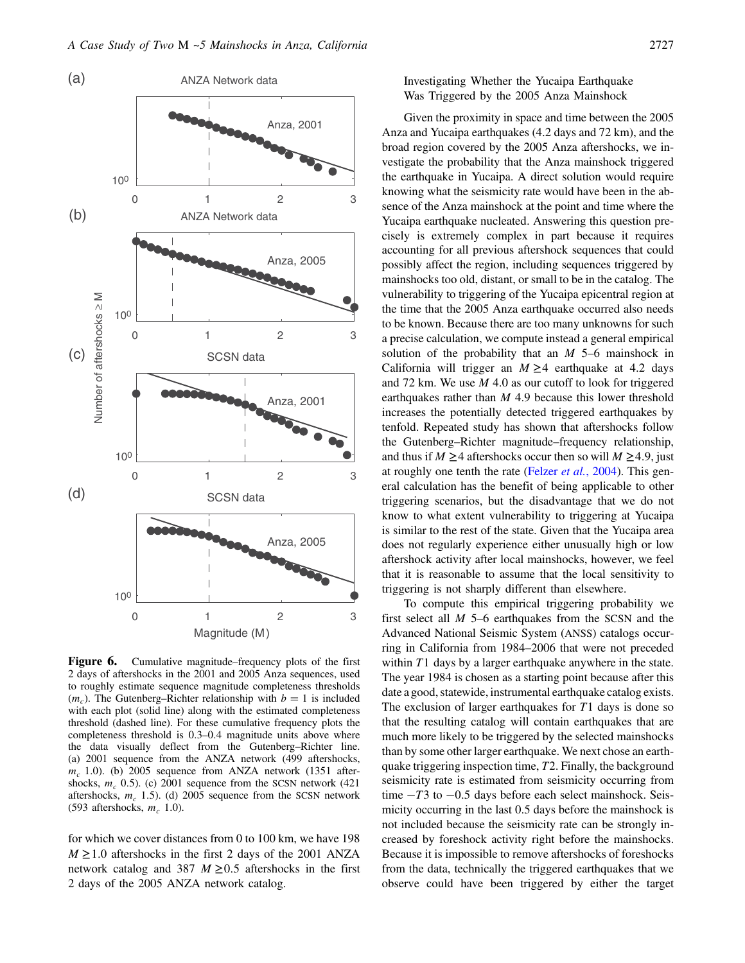<span id="page-6-0"></span>

Figure 6. Cumulative magnitude–frequency plots of the first 2 days of aftershocks in the 2001 and 2005 Anza sequences, used to roughly estimate sequence magnitude completeness thresholds  $(m<sub>c</sub>)$ . The Gutenberg–Richter relationship with  $b = 1$  is included with each plot (solid line) along with the estimated completeness threshold (dashed line). For these cumulative frequency plots the completeness threshold is 0:3–0:4 magnitude units above where the data visually deflect from the Gutenberg–Richter line. (a) 2001 sequence from the ANZA network (499 aftershocks,  $m_c$  1.0). (b) 2005 sequence from ANZA network (1351 aftershocks,  $m_c$  0.5). (c) 2001 sequence from the SCSN network (421) aftershocks,  $m_c$  1.5). (d) 2005 sequence from the SCSN network (593 aftershocks,  $m_c$  1.0).

for which we cover distances from 0 to 100 km, we have 198  $M \ge 1.0$  aftershocks in the first 2 days of the 2001 ANZA network catalog and 387  $M \geq 0.5$  aftershocks in the first 2 days of the 2005 ANZA network catalog.

Investigating Whether the Yucaipa Earthquake Was Triggered by the 2005 Anza Mainshock

Given the proximity in space and time between the 2005 Anza and Yucaipa earthquakes (4.2 days and 72 km), and the broad region covered by the 2005 Anza aftershocks, we investigate the probability that the Anza mainshock triggered the earthquake in Yucaipa. A direct solution would require knowing what the seismicity rate would have been in the absence of the Anza mainshock at the point and time where the Yucaipa earthquake nucleated. Answering this question precisely is extremely complex in part because it requires accounting for all previous aftershock sequences that could possibly affect the region, including sequences triggered by mainshocks too old, distant, or small to be in the catalog. The vulnerability to triggering of the Yucaipa epicentral region at the time that the 2005 Anza earthquake occurred also needs to be known. Because there are too many unknowns for such a precise calculation, we compute instead a general empirical solution of the probability that an  $M$  5–6 mainshock in California will trigger an  $M \geq 4$  earthquake at 4.2 days and 72 km. We use  $M$  4.0 as our cutoff to look for triggered earthquakes rather than  $M$  4.9 because this lower threshold increases the potentially detected triggered earthquakes by tenfold. Repeated study has shown that aftershocks follow the Gutenberg–Richter magnitude–frequency relationship, and thus if  $M \geq 4$  aftershocks occur then so will  $M \geq 4.9$ , just at roughly one tenth the rate (Felzer *et al.*[, 2004](#page-13-31)). This general calculation has the benefit of being applicable to other triggering scenarios, but the disadvantage that we do not know to what extent vulnerability to triggering at Yucaipa is similar to the rest of the state. Given that the Yucaipa area does not regularly experience either unusually high or low aftershock activity after local mainshocks, however, we feel that it is reasonable to assume that the local sensitivity to triggering is not sharply different than elsewhere.

To compute this empirical triggering probability we first select all M 5–6 earthquakes from the SCSN and the Advanced National Seismic System (ANSS) catalogs occurring in California from 1984–2006 that were not preceded within  $T1$  days by a larger earthquake anywhere in the state. The year 1984 is chosen as a starting point because after this date a good, statewide, instrumental earthquake catalog exists. The exclusion of larger earthquakes for  $T1$  days is done so that the resulting catalog will contain earthquakes that are much more likely to be triggered by the selected mainshocks than by some other larger earthquake. We next chose an earthquake triggering inspection time, T2. Finally, the background seismicity rate is estimated from seismicity occurring from time  $-T3$  to  $-0.5$  days before each select mainshock. Seismicity occurring in the last 0.5 days before the mainshock is not included because the seismicity rate can be strongly increased by foreshock activity right before the mainshocks. Because it is impossible to remove aftershocks of foreshocks from the data, technically the triggered earthquakes that we observe could have been triggered by either the target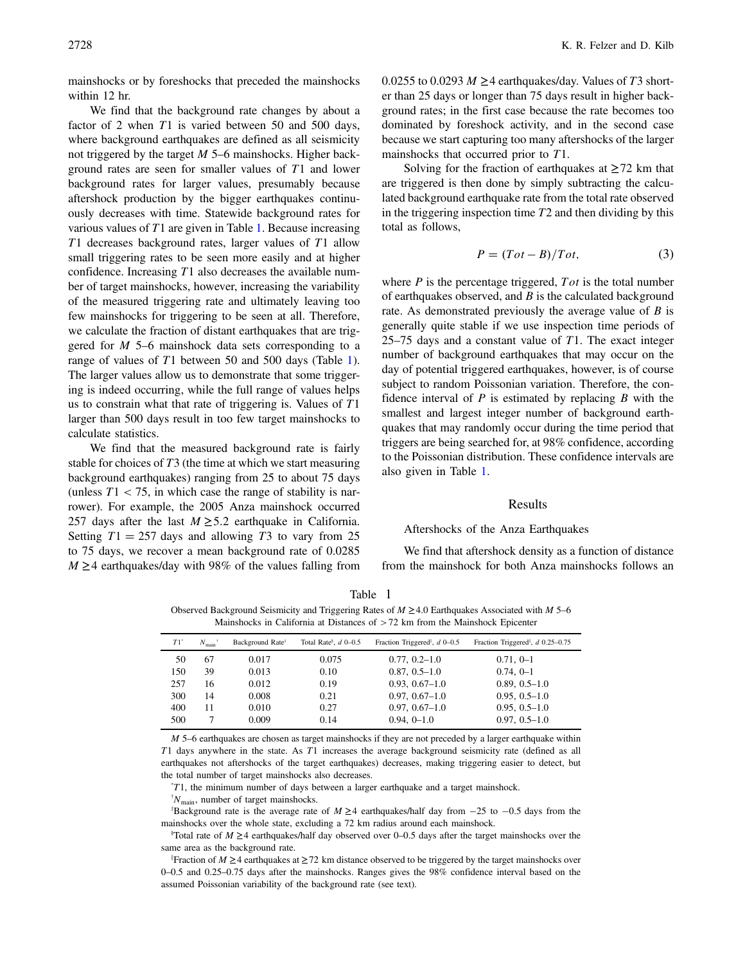mainshocks or by foreshocks that preceded the mainshocks within 12 hr.

We find that the background rate changes by about a factor of 2 when T1 is varied between 50 and 500 days, where background earthquakes are defined as all seismicity not triggered by the target M 5–6 mainshocks. Higher background rates are seen for smaller values of T1 and lower background rates for larger values, presumably because aftershock production by the bigger earthquakes continuously decreases with time. Statewide background rates for various values of  $T1$  $T1$  are given in Table 1. Because increasing T1 decreases background rates, larger values of T1 allow small triggering rates to be seen more easily and at higher confidence. Increasing T1 also decreases the available number of target mainshocks, however, increasing the variability of the measured triggering rate and ultimately leaving too few mainshocks for triggering to be seen at all. Therefore, we calculate the fraction of distant earthquakes that are triggered for M 5–6 mainshock data sets corresponding to a range of values of T1 between 50 and 500 days (Table [1](#page-7-1)). The larger values allow us to demonstrate that some triggering is indeed occurring, while the full range of values helps us to constrain what that rate of triggering is. Values of T1 larger than 500 days result in too few target mainshocks to calculate statistics.

We find that the measured background rate is fairly stable for choices of T3 (the time at which we start measuring background earthquakes) ranging from 25 to about 75 days (unless  $T1 < 75$ , in which case the range of stability is narrower). For example, the 2005 Anza mainshock occurred 257 days after the last  $M \geq 5.2$  earthquake in California. Setting  $T1 = 257$  days and allowing T3 to vary from 25 to 75 days, we recover a mean background rate of 0.0285  $M \geq 4$  earthquakes/day with 98% of the values falling from 0.0255 to 0.0293  $M \geq 4$  earthquakes/day. Values of T3 shorter than 25 days or longer than 75 days result in higher background rates; in the first case because the rate becomes too dominated by foreshock activity, and in the second case because we start capturing too many aftershocks of the larger mainshocks that occurred prior to T1.

Solving for the fraction of earthquakes at  $\geq$  72 km that are triggered is then done by simply subtracting the calculated background earthquake rate from the total rate observed in the triggering inspection time  $T2$  and then dividing by this total as follows,

$$
P = (Tot - B) / Tot,
$$
 (3)

<span id="page-7-2"></span>where  $P$  is the percentage triggered,  $Tot$  is the total number of earthquakes observed, and  $B$  is the calculated background rate. As demonstrated previously the average value of  $B$  is generally quite stable if we use inspection time periods of 25–75 days and a constant value of  $T1$ . The exact integer number of background earthquakes that may occur on the day of potential triggered earthquakes, however, is of course subject to random Poissonian variation. Therefore, the confidence interval of  $P$  is estimated by replacing  $B$  with the smallest and largest integer number of background earthquakes that may randomly occur during the time period that triggers are being searched for, at 98% confidence, according to the Poissonian distribution. These confidence intervals are also given in Table [1](#page-7-1).

### Results

#### <span id="page-7-0"></span>Aftershocks of the Anza Earthquakes

We find that aftershock density as a function of distance from the mainshock for both Anza mainshocks follows an

<span id="page-7-1"></span>

| Observed Background Seismicity and Triggering Rates of $M \ge 4.0$ Earthquakes Associated with M 5–6<br>Mainshocks in California at Distances of $> 72$ km from the Mainshock Epicenter |                |                              |                                     |                                                            |                                                      |  |  |  |  |
|-----------------------------------------------------------------------------------------------------------------------------------------------------------------------------------------|----------------|------------------------------|-------------------------------------|------------------------------------------------------------|------------------------------------------------------|--|--|--|--|
| $T1$ <sup>*</sup>                                                                                                                                                                       | $N_{\rm main}$ | Background Rate <sup>#</sup> | Total Rate <sup>§</sup> , $d$ 0–0.5 | Fraction Triggered <sup><math>\vert</math></sup> , d 0–0.5 | Fraction Triggered <sup>l</sup> , <i>d</i> 0.25-0.75 |  |  |  |  |

Table 1

| $T1^*$ | $N_{\text{main}}$ <sup>†</sup> | Background Rate <sup>#</sup> | Total Rate <sup>§</sup> , $d$ 0–0.5 | Fraction Triggered <sup><math>\vert</math></sup> , <i>d</i> 0–0.5 | Fraction Triggered <sup><math>\parallel</math></sup> , <i>d</i> 0.25–0.75 |
|--------|--------------------------------|------------------------------|-------------------------------------|-------------------------------------------------------------------|---------------------------------------------------------------------------|
| 50     | 67                             | 0.017                        | 0.075                               | $0.77, 0.2 - 1.0$                                                 | $0.71, 0-1$                                                               |
| 150    | 39                             | 0.013                        | 0.10                                | $0.87, 0.5 - 1.0$                                                 | $0.74, 0-1$                                                               |
| 257    | 16                             | 0.012                        | 0.19                                | $0.93, 0.67 - 1.0$                                                | $0.89, 0.5 - 1.0$                                                         |
| 300    | 14                             | 0.008                        | 0.21                                | $0.97, 0.67 - 1.0$                                                | $0.95, 0.5-1.0$                                                           |
| 400    | 11                             | 0.010                        | 0.27                                | $0.97, 0.67 - 1.0$                                                | $0.95, 0.5-1.0$                                                           |
| 500    |                                | 0.009                        | 0.14                                | $0.94, 0-1.0$                                                     | $0.97, 0.5 - 1.0$                                                         |

 $M$  5–6 earthquakes are chosen as target mainshocks if they are not preceded by a larger earthquake within T1 days anywhere in the state. As T1 increases the average background seismicity rate (defined as all earthquakes not aftershocks of the target earthquakes) decreases, making triggering easier to detect, but the total number of target mainshocks also decreases.

\* T1, the minimum number of days between a larger earthquake and a target mainshock.

 $\binom{†}{m_{\text{main}}}$ , number of target mainshocks.

Background rate is the average rate of  $M \geq 4$  earthquakes/half day from  $-25$  to  $-0.5$  days from the mainshocks over the whole state, excluding a 72 km radius around each mainshock.

§ Total rate of <sup>M</sup> <sup>≥</sup><sup>4</sup> earthquakes/half day observed over 0–0.5 days after the target mainshocks over the same area as the background rate.

∥ Fraction of <sup>M</sup> <sup>≥</sup><sup>4</sup> earthquakes at <sup>≥</sup><sup>72</sup> km distance observed to be triggered by the target mainshocks over 0–0.5 and 0.25–0.75 days after the mainshocks. Ranges gives the 98% confidence interval based on the assumed Poissonian variability of the background rate (see text).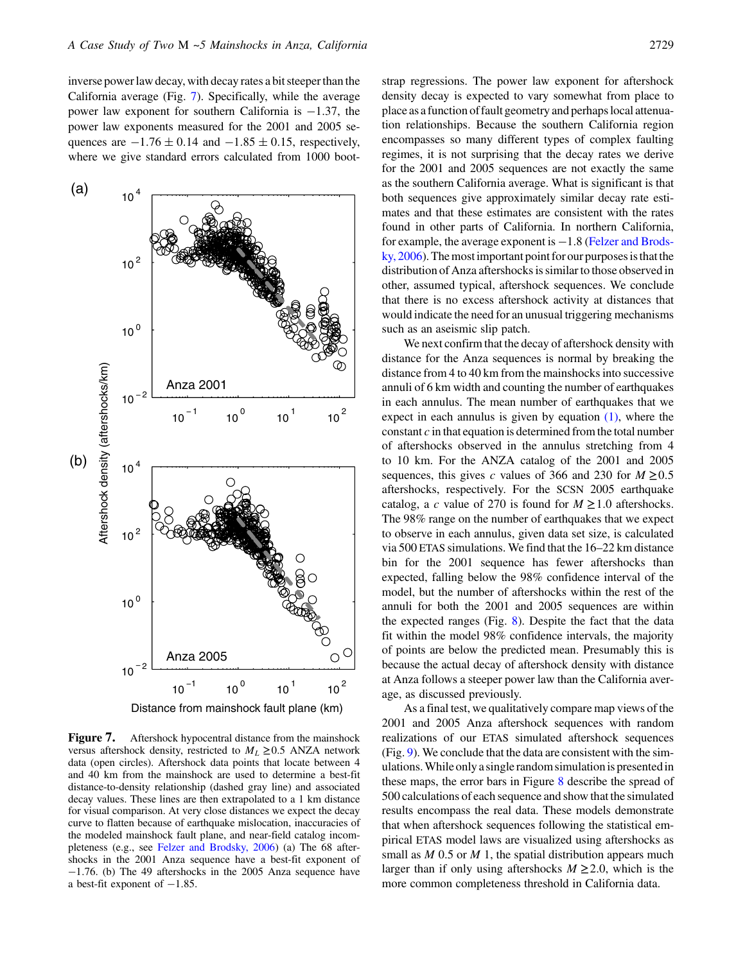inverse power law decay, with decay rates a bit steeper than the California average (Fig. [7\)](#page-8-0). Specifically, while the average power law exponent for southern California is  $-1.37$ , the power law exponents measured for the 2001 and 2005 sequences are  $-1.76 \pm 0.14$  and  $-1.85 \pm 0.15$ , respectively, where we give standard errors calculated from 1000 boot-

<span id="page-8-0"></span>

**Figure 7.** Aftershock hypocentral distance from the mainshock versus aftershock density, restricted to  $M_L \ge 0.5$  ANZA network data (open circles). Aftershock data points that locate between 4 and 40 km from the mainshock are used to determine a best-fit distance-to-density relationship (dashed gray line) and associated decay values. These lines are then extrapolated to a 1 km distance for visual comparison. At very close distances we expect the decay curve to flatten because of earthquake mislocation, inaccuracies of the modeled mainshock fault plane, and near-field catalog incompleteness (e.g., see [Felzer and Brodsky, 2006](#page-13-15)) (a) The 68 aftershocks in the 2001 Anza sequence have a best-fit exponent of -1:76. (b) The 49 aftershocks in the 2005 Anza sequence have a best-fit exponent of  $-1.85$ .

strap regressions. The power law exponent for aftershock density decay is expected to vary somewhat from place to place as a function of fault geometry and perhaps local attenuation relationships. Because the southern California region encompasses so many different types of complex faulting regimes, it is not surprising that the decay rates we derive for the 2001 and 2005 sequences are not exactly the same as the southern California average. What is significant is that both sequences give approximately similar decay rate estimates and that these estimates are consistent with the rates found in other parts of California. In northern California, for example, the average exponent is  $-1.8$  [\(Felzer and Brods](#page-13-15)[ky, 2006](#page-13-15)). The most important point for our purposes is that the distribution of Anza aftershocks is similar to those observed in other, assumed typical, aftershock sequences. We conclude that there is no excess aftershock activity at distances that would indicate the need for an unusual triggering mechanisms such as an aseismic slip patch.

We next confirm that the decay of aftershock density with distance for the Anza sequences is normal by breaking the distance from 4 to 40 km from the mainshocks into successive annuli of 6 km width and counting the number of earthquakes in each annulus. The mean number of earthquakes that we expect in each annulus is given by equation [\(1\)](#page-3-1), where the constant  $c$  in that equation is determined from the total number of aftershocks observed in the annulus stretching from 4 to 10 km. For the ANZA catalog of the 2001 and 2005 sequences, this gives c values of 366 and 230 for  $M \ge 0.5$ aftershocks, respectively. For the SCSN 2005 earthquake catalog, a c value of 270 is found for  $M \ge 1.0$  aftershocks. The 98% range on the number of earthquakes that we expect to observe in each annulus, given data set size, is calculated via 500 ETAS simulations. We find that the 16–22 km distance bin for the 2001 sequence has fewer aftershocks than expected, falling below the 98% confidence interval of the model, but the number of aftershocks within the rest of the annuli for both the 2001 and 2005 sequences are within the expected ranges (Fig.  $8$ ). Despite the fact that the data fit within the model 98% confidence intervals, the majority of points are below the predicted mean. Presumably this is because the actual decay of aftershock density with distance at Anza follows a steeper power law than the California average, as discussed previously.

As a final test, we qualitatively compare map views of the 2001 and 2005 Anza aftershock sequences with random realizations of our ETAS simulated aftershock sequences (Fig. [9\)](#page-10-0). We conclude that the data are consistent with the simulations.While only a single random simulation is presentedin these maps, the error bars in Figure [8](#page-9-0) describe the spread of 500 calculations of each sequence and show that the simulated results encompass the real data. These models demonstrate that when aftershock sequences following the statistical empirical ETAS model laws are visualized using aftershocks as small as  $M$  0.5 or  $M$  1, the spatial distribution appears much larger than if only using aftershocks  $M \geq 2.0$ , which is the more common completeness threshold in California data.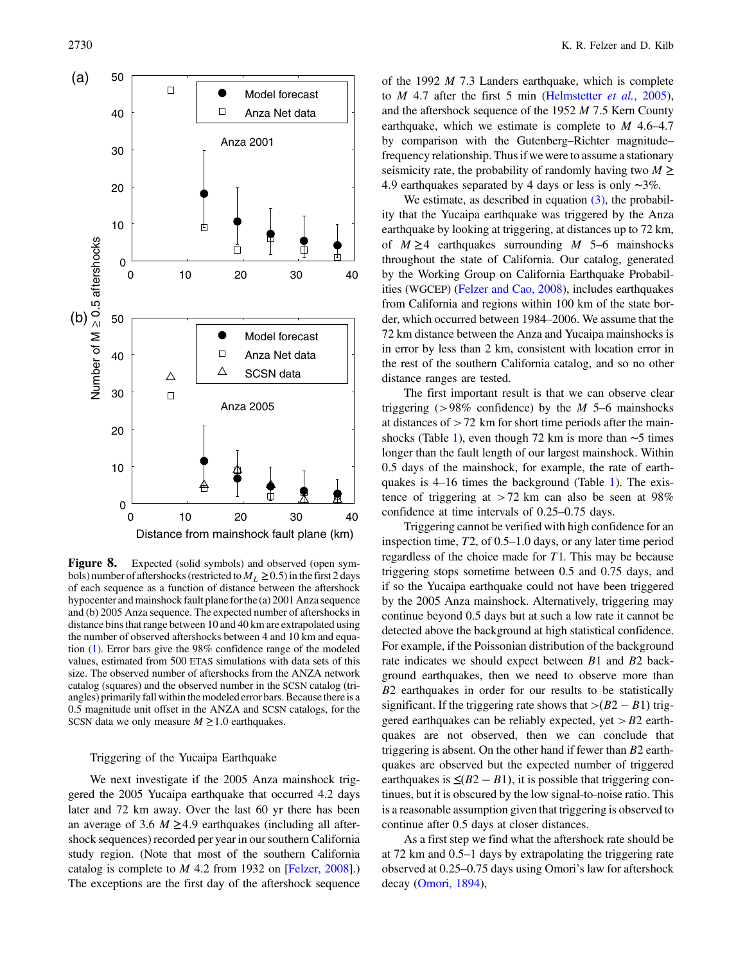<span id="page-9-0"></span>![](_page_9_Figure_1.jpeg)

**Figure 8.** Expected (solid symbols) and observed (open symbols) number of aftershocks (restricted to  $M_L \ge 0.5$ ) in the first 2 days of each sequence as a function of distance between the aftershock hypocenter and mainshock fault plane for the (a) 2001 Anza sequence and (b) 2005 Anza sequence. The expected number of aftershocks in distance bins that range between 10 and 40 km are extrapolated using the number of observed aftershocks between 4 and 10 km and equation [\(1\).](#page-3-1) Error bars give the 98% confidence range of the modeled values, estimated from 500 ETAS simulations with data sets of this size. The observed number of aftershocks from the ANZA network catalog (squares) and the observed number in the SCSN catalog (triangles) primarily fall within the modeled error bars. Because there is a 0.5 magnitude unit offset in the ANZA and SCSN catalogs, for the SCSN data we only measure  $M \geq 1.0$  earthquakes.

## Triggering of the Yucaipa Earthquake

We next investigate if the 2005 Anza mainshock triggered the 2005 Yucaipa earthquake that occurred 4.2 days later and 72 km away. Over the last 60 yr there has been an average of 3.6  $M \geq 4.9$  earthquakes (including all aftershock sequences) recorded per year in our southern California study region. (Note that most of the southern California catalog is complete to M 4.2 from 1932 on [\[Felzer, 2008](#page-12-12)].) The exceptions are the first day of the aftershock sequence of the 1992  $M$  7.3 Landers earthquake, which is complete to  $M$  4.7 after the first 5 min ([Helmstetter](#page-13-32) *et al.*, 2005), and the aftershock sequence of the 1952 M 7.5 Kern County earthquake, which we estimate is complete to  $M$  4.6–4.7 by comparison with the Gutenberg–Richter magnitude– frequency relationship. Thus if we were to assume a stationary seismicity rate, the probability of randomly having two  $M \geq$ <sup>4</sup>:<sup>9</sup> earthquakes separated by 4 days or less is only <sup>∼</sup>3%.

We estimate, as described in equation  $(3)$ , the probability that the Yucaipa earthquake was triggered by the Anza earthquake by looking at triggering, at distances up to 72 km, of  $M \geq 4$  earthquakes surrounding M 5–6 mainshocks throughout the state of California. Our catalog, generated by the Working Group on California Earthquake Probabilities (WGCEP) ([Felzer and Cao, 2008](#page-13-33)), includes earthquakes from California and regions within 100 km of the state border, which occurred between 1984–2006. We assume that the 72 km distance between the Anza and Yucaipa mainshocks is in error by less than 2 km, consistent with location error in the rest of the southern California catalog, and so no other distance ranges are tested.

The first important result is that we can observe clear triggering ( $>98\%$  confidence) by the *M* 5–6 mainshocks at distances of >72 km for short time periods after the mainshocks (Table [1\)](#page-7-1), even though 72 km is more than <sup>∼</sup><sup>5</sup> times longer than the fault length of our largest mainshock. Within 0.5 days of the mainshock, for example, the rate of earthquakes is 4–16 times the background (Table [1\)](#page-7-1). The existence of triggering at  $>72$  km can also be seen at 98% confidence at time intervals of 0.25–0.75 days.

Triggering cannot be verified with high confidence for an inspection time, T2, of 0.5–1.0 days, or any later time period regardless of the choice made for  $T1$ . This may be because triggering stops sometime between 0.5 and 0.75 days, and if so the Yucaipa earthquake could not have been triggered by the 2005 Anza mainshock. Alternatively, triggering may continue beyond 0.5 days but at such a low rate it cannot be detected above the background at high statistical confidence. For example, if the Poissonian distribution of the background rate indicates we should expect between B1 and B2 background earthquakes, then we need to observe more than B2 earthquakes in order for our results to be statistically significant. If the triggering rate shows that  $>(B2 - B1)$  triggered earthquakes can be reliably expected, yet  $>$  B2 earthquakes are not observed, then we can conclude that triggering is absent. On the other hand if fewer than B2 earthquakes are observed but the expected number of triggered earthquakes is  $\leq (B2 - B1)$ , it is possible that triggering continues, but it is obscured by the low signal-to-noise ratio. This is a reasonable assumption given that triggering is observed to continue after 0.5 days at closer distances.

As a first step we find what the aftershock rate should be at 72 km and 0.5–1 days by extrapolating the triggering rate observed at 0.25–0.75 days using Omori's law for aftershock decay [\(Omori, 1894\)](#page-13-0),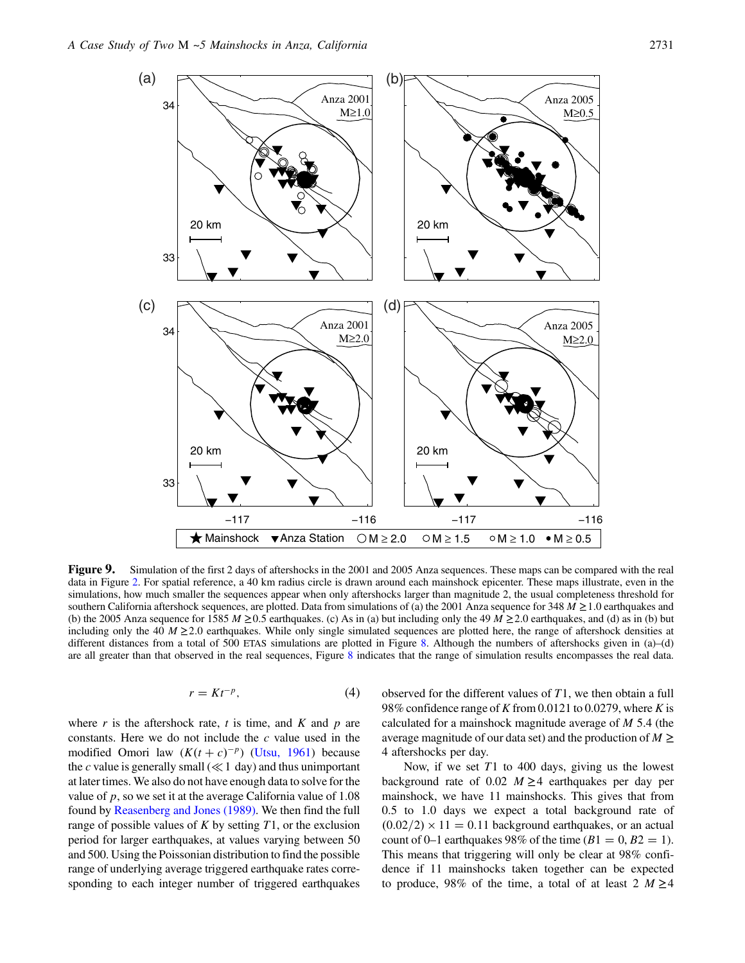<span id="page-10-0"></span>![](_page_10_Figure_1.jpeg)

**Figure 9.** Simulation of the first [2](#page-2-0) days of aftershocks in the 2001 and 2005 Anza sequences. These maps can be compared with the real data in Figure 2. For spatial reference, a 40 km radius circle is drawn around each ma simulations, how much smaller the sequences appear when only aftershocks larger than magnitude 2, the usual completeness threshold for southern California aftershock sequences, are plotted. Data from simulations of (a) the 2001 Anza sequence for 348  $M \ge 1.0$  earthquakes and (b) the 2005 Anza sequence for 1585 M  $\geq$  0.5 earthquakes. (c) As in (a) but including only the 49 M  $\geq$  2.0 earthquakes, and (d) as in (b) but including only the 40  $M \ge 2.0$  earthquakes. While only single simulated sequences are plotted here, the range of aftershock densities at different distances from a total of 500 ETAS simulations are plotted in Figure [8.](#page-9-0) Although the numbers of aftershocks given in (a)–(d) are all greater than that observed in the real sequences, Figure [8](#page-9-0) indicates that the range of simulation results encompasses the real data.

$$
r = Kt^{-p},\tag{4}
$$

<span id="page-10-1"></span>where  $r$  is the aftershock rate,  $t$  is time, and  $K$  and  $p$  are constants. Here we do not include the c value used in the modified Omori law  $(K(t + c)^{-p})$  [\(Utsu, 1961\)](#page-13-1) because the c value is generally small ( $\ll$  1 day) and thus unimportant at later times. We also do not have enough data to solve for the value of  $p$ , so we set it at the average California value of 1.08 found by [Reasenberg and Jones \(1989\)](#page-13-34). We then find the full range of possible values of  $K$  by setting  $T1$ , or the exclusion period for larger earthquakes, at values varying between 50 and 500. Using the Poissonian distribution to find the possible range of underlying average triggered earthquake rates corresponding to each integer number of triggered earthquakes observed for the different values of T1, we then obtain a full 98% confidence range of K from 0.0121 to 0.0279, where K is calculated for a mainshock magnitude average of  $M$  5.4 (the average magnitude of our data set) and the production of  $M \geq$ 4 aftershocks per day.

Now, if we set  $T1$  to 400 days, giving us the lowest background rate of 0.02  $M \geq 4$  earthquakes per day per mainshock, we have 11 mainshocks. This gives that from 0.5 to 1.0 days we expect a total background rate of  $(0.02/2) \times 11 = 0.11$  background earthquakes, or an actual count of 0–1 earthquakes 98% of the time  $(B1 = 0, B2 = 1)$ . This means that triggering will only be clear at 98% confidence if 11 mainshocks taken together can be expected to produce, 98% of the time, a total of at least 2  $M \ge 4$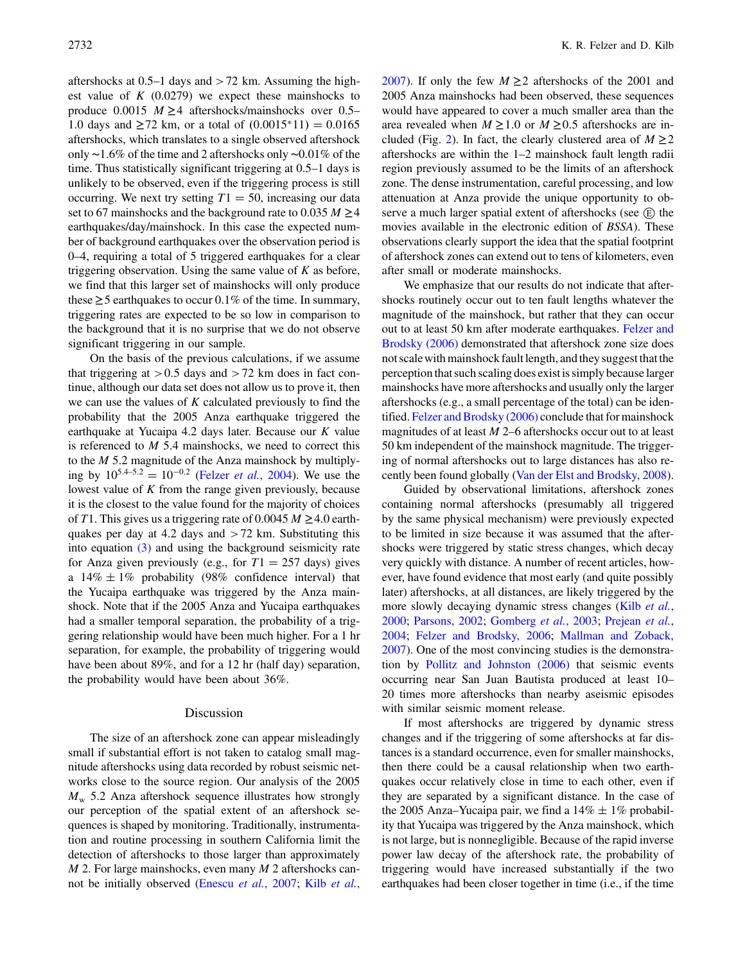aftershocks at 0.5–1 days and >72 km. Assuming the highest value of  $K$  (0.0279) we expect these mainshocks to produce 0.0015  $M \geq 4$  aftershocks/mainshocks over 0.5– 1.0 days and  $\geq$  72 km, or a total of  $(0.0015^*11) = 0.0165$ aftershocks, which translates to a single observed aftershock only <sup>∼</sup>1:6% of the time and 2 aftershocks only <sup>∼</sup>0:01% of the time. Thus statistically significant triggering at 0.5–1 days is unlikely to be observed, even if the triggering process is still occurring. We next try setting  $T1 = 50$ , increasing our data set to 67 mainshocks and the background rate to 0.035  $M \geq 4$ earthquakes/day/mainshock. In this case the expected number of background earthquakes over the observation period is 0–4, requiring a total of 5 triggered earthquakes for a clear triggering observation. Using the same value of  $K$  as before, we find that this larger set of mainshocks will only produce these  $\geq$  5 earthquakes to occur 0.1% of the time. In summary, triggering rates are expected to be so low in comparison to the background that it is no surprise that we do not observe significant triggering in our sample.

On the basis of the previous calculations, if we assume that triggering at  $> 0.5$  days and  $> 72$  km does in fact continue, although our data set does not allow us to prove it, then we can use the values of  $K$  calculated previously to find the probability that the 2005 Anza earthquake triggered the earthquake at Yucaipa 4.2 days later. Because our K value is referenced to  $M$  5.4 mainshocks, we need to correct this to the  $M$  5.2 magnitude of the Anza mainshock by multiplying by  $10^{5.4-5.2} = 10^{-0.2}$  (Felzer *et al.*[, 2004](#page-13-31)). We use the lowest value of  $K$  from the range given previously, because it is the closest to the value found for the majority of choices of T1. This gives us a triggering rate of 0.0045  $M \geq 4.0$  earthquakes per day at 4.2 days and  $>72$  km. Substituting this into equation [\(3\)](#page-7-2) and using the background seismicity rate for Anza given previously (e.g., for  $T1 = 257$  days) gives a  $14\% \pm 1\%$  probability (98% confidence interval) that the Yucaipa earthquake was triggered by the Anza mainshock. Note that if the 2005 Anza and Yucaipa earthquakes had a smaller temporal separation, the probability of a triggering relationship would have been much higher. For a 1 hr separation, for example, the probability of triggering would have been about 89%, and for a 12 hr (half day) separation, the probability would have been about 36%.

#### Discussion

The size of an aftershock zone can appear misleadingly small if substantial effort is not taken to catalog small magnitude aftershocks using data recorded by robust seismic networks close to the source region. Our analysis of the 2005  $M_{\rm w}$  5.2 Anza aftershock sequence illustrates how strongly our perception of the spatial extent of an aftershock sequences is shaped by monitoring. Traditionally, instrumentation and routine processing in southern California limit the detection of aftershocks to those larger than approximately  $M$  2. For large mainshocks, even many  $M$  2 aftershocks cannot be initially observed ([Enescu](#page-12-13) et al., 2007; Kilb [et al.](#page-13-35), [2007](#page-13-35)). If only the few  $M \ge 2$  aftershocks of the 2001 and 2005 Anza mainshocks had been observed, these sequences would have appeared to cover a much smaller area than the area revealed when  $M \ge 1.0$  or  $M \ge 0.5$  aftershocks are in-cluded (Fig. [2](#page-2-0)). In fact, the clearly clustered area of  $M \ge 2$ aftershocks are within the 1–2 mainshock fault length radii region previously assumed to be the limits of an aftershock zone. The dense instrumentation, careful processing, and low attenuation at Anza provide the unique opportunity to observe a much larger spatial extent of aftershocks (see  $(E)$  the movies available in the electronic edition of BSSA). These observations clearly support the idea that the spatial footprint of aftershock zones can extend out to tens of kilometers, even after small or moderate mainshocks.

We emphasize that our results do not indicate that aftershocks routinely occur out to ten fault lengths whatever the magnitude of the mainshock, but rather that they can occur out to at least 50 km after moderate earthquakes. [Felzer and](#page-13-15) [Brodsky \(2006\)](#page-13-15) demonstrated that aftershock zone size does not scale with mainshock fault length, andthey suggest that the perception that such scaling does exist is simply because larger mainshocks have more aftershocks and usually only the larger aftershocks (e.g., a small percentage of the total) can be identified. [Felzer and Brodsky \(2006\)](#page-13-15) conclude that for mainshock magnitudes of at least  $M$  2–6 aftershocks occur out to at least 50 km independent of the mainshock magnitude. The triggering of normal aftershocks out to large distances has also recently been found globally [\(Van der Elst and Brodsky, 2008](#page-13-36)).

Guided by observational limitations, aftershock zones containing normal aftershocks (presumably all triggered by the same physical mechanism) were previously expected to be limited in size because it was assumed that the aftershocks were triggered by static stress changes, which decay very quickly with distance. A number of recent articles, however, have found evidence that most early (and quite possibly later) aftershocks, at all distances, are likely triggered by the more slowly decaying dynamic stress changes (Kilb [et al.](#page-13-5), [2000](#page-13-5); [Parsons, 2002](#page-13-37); [Gomberg](#page-13-38) et al., 2003; [Prejean](#page-13-13) et al., [2004](#page-13-13); [Felzer and Brodsky, 2006;](#page-13-15) [Mallman and Zoback,](#page-13-39) [2007](#page-13-39)). One of the most convincing studies is the demonstration by [Pollitz and Johnston \(2006\)](#page-13-40) that seismic events occurring near San Juan Bautista produced at least 10– 20 times more aftershocks than nearby aseismic episodes with similar seismic moment release.

If most aftershocks are triggered by dynamic stress changes and if the triggering of some aftershocks at far distances is a standard occurrence, even for smaller mainshocks, then there could be a causal relationship when two earthquakes occur relatively close in time to each other, even if they are separated by a significant distance. In the case of the 2005 Anza–Yucaipa pair, we find a  $14\% \pm 1\%$  probability that Yucaipa was triggered by the Anza mainshock, which is not large, but is nonnegligible. Because of the rapid inverse power law decay of the aftershock rate, the probability of triggering would have increased substantially if the two earthquakes had been closer together in time (i.e., if the time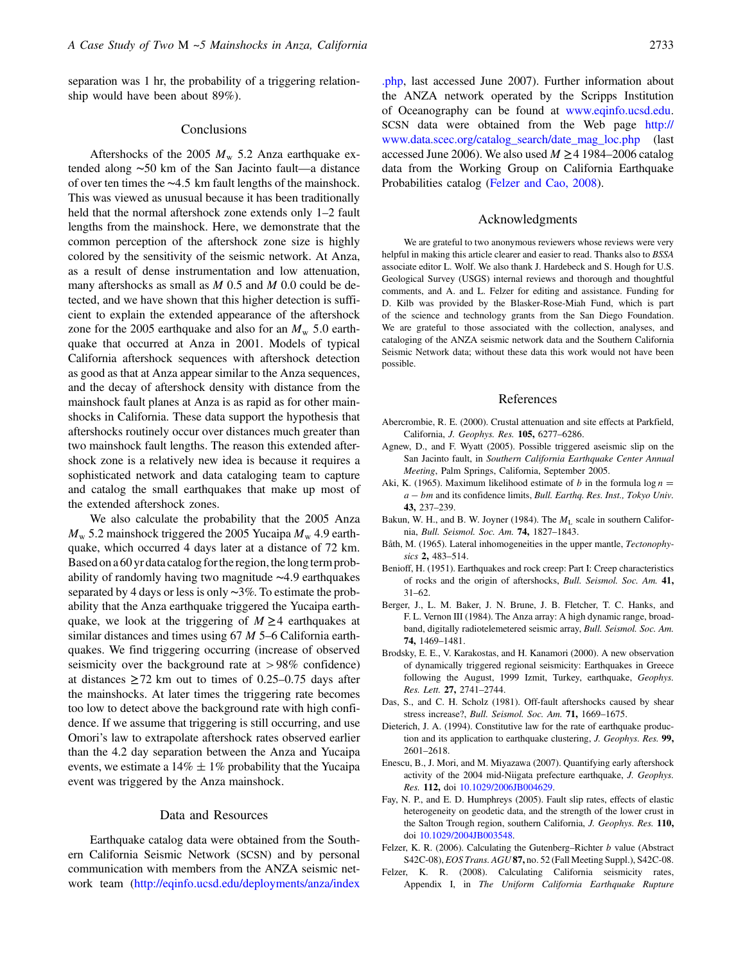separation was 1 hr, the probability of a triggering relationship would have been about 89%).

#### Conclusions

Aftershocks of the 2005  $M_{\rm w}$  5.2 Anza earthquake extended along <sup>∼</sup><sup>50</sup> km of the San Jacinto fault—a distance of over ten times the <sup>∼</sup>4:<sup>5</sup> km fault lengths of the mainshock. This was viewed as unusual because it has been traditionally held that the normal aftershock zone extends only 1-2 fault lengths from the mainshock. Here, we demonstrate that the common perception of the aftershock zone size is highly colored by the sensitivity of the seismic network. At Anza, as a result of dense instrumentation and low attenuation, many aftershocks as small as  $M$  0.5 and  $M$  0.0 could be detected, and we have shown that this higher detection is sufficient to explain the extended appearance of the aftershock zone for the 2005 earthquake and also for an  $M_{\rm w}$  5.0 earthquake that occurred at Anza in 2001. Models of typical California aftershock sequences with aftershock detection as good as that at Anza appear similar to the Anza sequences, and the decay of aftershock density with distance from the mainshock fault planes at Anza is as rapid as for other mainshocks in California. These data support the hypothesis that aftershocks routinely occur over distances much greater than two mainshock fault lengths. The reason this extended aftershock zone is a relatively new idea is because it requires a sophisticated network and data cataloging team to capture and catalog the small earthquakes that make up most of the extended aftershock zones.

We also calculate the probability that the 2005 Anza  $M_{\rm w}$  5.2 mainshock triggered the 2005 Yucaipa  $M_{\rm w}$  4.9 earthquake, which occurred 4 days later at a distance of 72 km. Based on a 60 yr data catalog for the region, the long term probability of randomly having two magnitude <sup>∼</sup>4:<sup>9</sup> earthquakes separated by 4 days or less is only ∼3%. To estimate the probability that the Anza earthquake triggered the Yucaipa earthquake, we look at the triggering of  $M \geq 4$  earthquakes at similar distances and times using 67 M 5–6 California earthquakes. We find triggering occurring (increase of observed seismicity over the background rate at >98% confidence) at distances  $\geq$  72 km out to times of 0.25–0.75 days after the mainshocks. At later times the triggering rate becomes too low to detect above the background rate with high confidence. If we assume that triggering is still occurring, and use Omori's law to extrapolate aftershock rates observed earlier than the 4.2 day separation between the Anza and Yucaipa events, we estimate a  $14\% \pm 1\%$  probability that the Yucaipa event was triggered by the Anza mainshock.

#### Data and Resources

<span id="page-12-5"></span>Earthquake catalog data were obtained from the Southern California Seismic Network (SCSN) and by personal communication with members from the ANZA seismic network team [\(http://eqinfo.ucsd.edu/deployments/anza/index](http://eqinfo.ucsd.edu/deployments/anza/index.php) [.php,](http://eqinfo.ucsd.edu/deployments/anza/index.php) last accessed June 2007). Further information about the ANZA network operated by the Scripps Institution of Oceanography can be found at [www.eqinfo.ucsd.edu.](http://www.eqinfo.ucsd.edu) SCSN data were obtained from the Web page [http://](http://www.data.scec.org/catalog_search/date_mag_loc.php) [www.data.scec.org/catalog\\_search/date\\_mag\\_loc.php](http://www.data.scec.org/catalog_search/date_mag_loc.php) (last accessed June 2006). We also used  $M \ge 4$  1984–2006 catalog data from the Working Group on California Earthquake Probabilities catalog ([Felzer and Cao, 2008\)](#page-13-33).

## Acknowledgments

We are grateful to two anonymous reviewers whose reviews were very helpful in making this article clearer and easier to read. Thanks also to BSSA associate editor L. Wolf. We also thank J. Hardebeck and S. Hough for U.S. Geological Survey (USGS) internal reviews and thorough and thoughtful comments, and A. and L. Felzer for editing and assistance. Funding for D. Kilb was provided by the Blasker-Rose-Miah Fund, which is part of the science and technology grants from the San Diego Foundation. We are grateful to those associated with the collection, analyses, and cataloging of the ANZA seismic network data and the Southern California Seismic Network data; without these data this work would not have been possible.

#### References

- <span id="page-12-7"></span><span id="page-12-6"></span>Abercrombie, R. E. (2000). Crustal attenuation and site effects at Parkfield, California, J. Geophys. Res. 105, <sup>6277</sup>–6286.
- <span id="page-12-11"></span>Agnew, D., and F. Wyatt (2005). Possible triggered aseismic slip on the San Jacinto fault, in Southern California Earthquake Center Annual Meeting, Palm Springs, California, September 2005.
- <span id="page-12-9"></span>Aki, K. (1965). Maximum likelihood estimate of b in the formula  $\log n =$ a – bm and its confidence limits, Bull. Earthq. Res. Inst., Tokyo Univ. 43, <sup>237</sup>–239.
- <span id="page-12-14"></span>Bakun, W. H., and B. W. Joyner (1984). The  $M_L$  scale in southern California, Bull. Seismol. Soc. Am. 74, <sup>1827</sup>–1843.
- <span id="page-12-0"></span>Båth, M. (1965). Lateral inhomogeneities in the upper mantle, Tectonophysics 2, 483-514.
- <span id="page-12-8"></span>Benioff, H. (1951). Earthquakes and rock creep: Part I: Creep characteristics of rocks and the origin of aftershocks, Bull. Seismol. Soc. Am. 41, 31–62.
- Berger, J., L. M. Baker, J. N. Brune, J. B. Fletcher, T. C. Hanks, and F. L. Vernon III (1984). The Anza array: A high dynamic range, broadband, digitally radiotelemetered seismic array, Bull. Seismol. Soc. Am. 74, <sup>1469</sup>–1481.
- <span id="page-12-3"></span>Brodsky, E. E., V. Karakostas, and H. Kanamori (2000). A new observation of dynamically triggered regional seismicity: Earthquakes in Greece following the August, 1999 Izmit, Turkey, earthquake, Geophys. Res. Lett. 27, <sup>2741</sup>–2744.
- <span id="page-12-2"></span><span id="page-12-1"></span>Das, S., and C. H. Scholz (1981). Off-fault aftershocks caused by shear stress increase?, Bull. Seismol. Soc. Am. 71, <sup>1669</sup>–1675.
- <span id="page-12-13"></span>Dieterich, J. A. (1994). Constitutive law for the rate of earthquake production and its application to earthquake clustering, J. Geophys. Res. 99, 2601–2618.
- <span id="page-12-4"></span>Enescu, B., J. Mori, and M. Miyazawa (2007). Quantifying early aftershock activity of the 2004 mid-Niigata prefecture earthquake, J. Geophys. Res. 112, doi [10.1029/2006JB004629](http://dx.doi.org/10.1029/2006JB004629).
- Fay, N. P., and E. D. Humphreys (2005). Fault slip rates, effects of elastic heterogeneity on geodetic data, and the strength of the lower crust in the Salton Trough region, southern California, J. Geophys. Res. 110, doi [10.1029/2004JB003548](http://dx.doi.org/10.1029/2004JB003548).
- <span id="page-12-12"></span><span id="page-12-10"></span>Felzer, K. R. (2006). Calculating the Gutenberg–Richter  $b$  value (Abstract S42C-08), EOS Trans. AGU 87, no. 52 (Fall Meeting Suppl.), S42C-08.
- Felzer, K. R. (2008). Calculating California seismicity rates, Appendix I, in The Uniform California Earthquake Rupture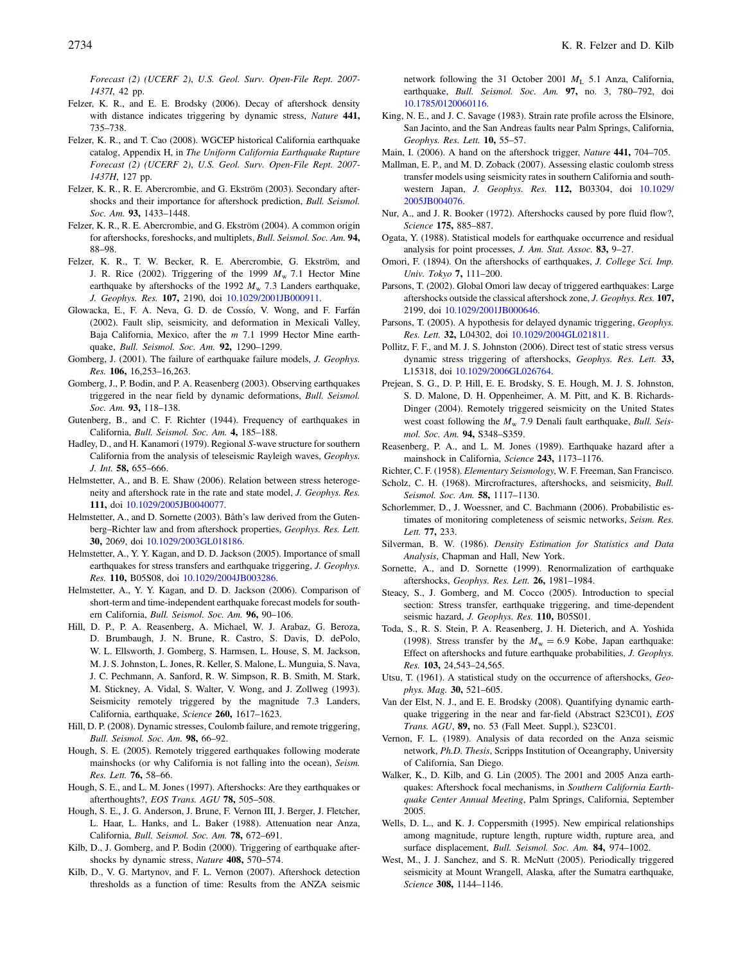Forecast (2) (UCERF 2), U.S. Geol. Surv. Open-File Rept. 2007- 1437I, 42 pp.

- <span id="page-13-15"></span>Felzer, K. R., and E. E. Brodsky (2006). Decay of aftershock density with distance indicates triggering by dynamic stress, Nature 441, 735–738.
- <span id="page-13-33"></span>Felzer, K. R., and T. Cao (2008). WGCEP historical California earthquake catalog, Appendix H, in The Uniform California Earthquake Rupture Forecast (2) (UCERF 2), U.S. Geol. Surv. Open-File Rept. 2007- 1437H, 127 pp.
- <span id="page-13-42"></span>Felzer, K. R., R. E. Abercrombie, and G. Ekström (2003). Secondary aftershocks and their importance for aftershock prediction, Bull. Seismol. Soc. Am. 93, 1433-1448.
- <span id="page-13-31"></span>Felzer, K. R., R. E. Abercrombie, and G. Ekström (2004). A common origin for aftershocks, foreshocks, and multiplets, Bull. Seismol. Soc. Am. 94, 88–98.
- <span id="page-13-26"></span>Felzer, K. R., T. W. Becker, R. E. Abercrombie, G. Ekström, and J. R. Rice (2002). Triggering of the 1999  $M_w$  7.1 Hector Mine earthquake by aftershocks of the 1992  $M_{\rm w}$  7.3 Landers earthquake, J. Geophys. Res. 107, 2190, doi [10.1029/2001JB000911.](http://dx.doi.org/10.1029/2001JB000911)
- <span id="page-13-12"></span>Glowacka, E., F. A. Neva, G. D. de Cossío, V. Wong, and F. Farfán (2002). Fault slip, seismicity, and deformation in Mexicali Valley, Baja California, Mexico, after the m 7.1 1999 Hector Mine earthquake, Bull. Seismol. Soc. Am. 92, <sup>1290</sup>–1299.
- <span id="page-13-9"></span>Gomberg, J. (2001). The failure of earthquake failure models, *J. Geophys.* Res. 106, 16,253–16,263.
- <span id="page-13-38"></span>Gomberg, J., P. Bodin, and P. A. Reasenberg (2003). Observing earthquakes triggered in the near field by dynamic deformations, Bull. Seismol. Soc. Am. 93, 118-138.
- <span id="page-13-28"></span>Gutenberg, B., and C. F. Richter (1944). Frequency of earthquakes in California, Bull. Seismol. Soc. Am. 4, <sup>185</sup>–188.
- <span id="page-13-23"></span>Hadley, D., and H. Kanamori (1979). Regional S-wave structure for southern California from the analysis of teleseismic Rayleigh waves, Geophys. J. Int. 58, <sup>655</sup>–666.
- <span id="page-13-7"></span>Helmstetter, A., and B. E. Shaw (2006). Relation between stress heterogeneity and aftershock rate in the rate and state model, J. Geophys. Res. 111, doi [10.1029/2005JB0040077](http://dx.doi.org/10.1029/2005JB0040077).
- <span id="page-13-44"></span>Helmstetter, A., and D. Sornette (2003). Båth's law derived from the Gutenberg–Richter law and from aftershock properties, Geophys. Res. Lett. 30, 2069, doi [10.1029/2003GL018186.](http://dx.doi.org/10.1029/2003GL018186)
- <span id="page-13-32"></span>Helmstetter, A., Y. Y. Kagan, and D. D. Jackson (2005). Importance of small earthquakes for stress transfers and earthquake triggering, J. Geophys. Res. 110, B05S08, doi [10.1029/2004JB003286.](http://dx.doi.org/10.1029/2004JB003286)
- <span id="page-13-27"></span>Helmstetter, A., Y. Y. Kagan, and D. D. Jackson (2006). Comparison of short-term and time-independent earthquake forecast models for southern California, Bull. Seismol. Soc. Am. 96, <sup>90</sup>–106.
- <span id="page-13-11"></span>Hill, D. P., P. A. Reasenberg, A. Michael, W. J. Arabaz, G. Beroza, D. Brumbaugh, J. N. Brune, R. Castro, S. Davis, D. dePolo, W. L. Ellsworth, J. Gomberg, S. Harmsen, L. House, S. M. Jackson, M. J. S. Johnston, L. Jones, R. Keller, S. Malone, L. Munguia, S. Nava, J. C. Pechmann, A. Sanford, R. W. Simpson, R. B. Smith, M. Stark, M. Stickney, A. Vidal, S. Walter, V. Wong, and J. Zollweg (1993). Seismicity remotely triggered by the magnitude 7.3 Landers, California, earthquake, Science 260, <sup>1617</sup>–1623.
- <span id="page-13-8"></span>Hill, D. P. (2008). Dynamic stresses, Coulomb failure, and remote triggering, Bull. Seismol. Soc. Am. 98, <sup>66</sup>–92.
- <span id="page-13-16"></span>Hough, S. E. (2005). Remotely triggered earthquakes following moderate mainshocks (or why California is not falling into the ocean), Seism. Res. Lett. 76, <sup>58</sup>–66.
- <span id="page-13-10"></span>Hough, S. E., and L. M. Jones (1997). Aftershocks: Are they earthquakes or afterthoughts?, EOS Trans. AGU 78, <sup>505</sup>–508.
- <span id="page-13-20"></span>Hough, S. E., J. G. Anderson, J. Brune, F. Vernon III, J. Berger, J. Fletcher, L. Haar, L. Hanks, and L. Baker (1988). Attenuation near Anza, California, Bull. Seismol. Soc. Am. 78, <sup>672</sup>–691.
- <span id="page-13-5"></span>Kilb, D., J. Gomberg, and P. Bodin (2000). Triggering of earthquake aftershocks by dynamic stress, Nature 408, <sup>570</sup>–574.
- <span id="page-13-35"></span>Kilb, D., V. G. Martynov, and F. L. Vernon (2007). Aftershock detection thresholds as a function of time: Results from the ANZA seismic

network following the 31 October 2001  $M_L$  5.1 Anza, California, earthquake, Bull. Seismol. Soc. Am. 97, no. 3, 780-792, doi [10.1785/0120060116.](http://dx.doi.org/10.1785/0120060116)

- <span id="page-13-19"></span>King, N. E., and J. C. Savage (1983). Strain rate profile across the Elsinore, San Jacinto, and the San Andreas faults near Palm Springs, California, Geophys. Res. Lett. 10, <sup>55</sup>–57.
- <span id="page-13-18"></span>Main, I. (2006). A hand on the aftershock trigger, Nature 441, 704-705.
- <span id="page-13-39"></span>Mallman, E. P., and M. D. Zoback (2007). Assessing elastic coulomb stress transfer models using seismicity rates in southern California and southwestern Japan, J. Geophys. Res. 112, B03304, doi [10.1029/](http://dx.doi.org/10.1029/2005JB004076) [2005JB004076](http://dx.doi.org/10.1029/2005JB004076).
- <span id="page-13-3"></span>Nur, A., and J. R. Booker (1972). Aftershocks caused by pore fluid flow?, Science 175, <sup>885</sup>–887.
- <span id="page-13-25"></span>Ogata, Y. (1988). Statistical models for earthquake occurrence and residual analysis for point processes, J. Am. Stat. Assoc. 83, 9-27.
- <span id="page-13-0"></span>Omori, F. (1894). On the aftershocks of earthquakes, J. College Sci. Imp. Univ. Tokyo 7, <sup>111</sup>–200.
- <span id="page-13-37"></span>Parsons, T. (2002). Global Omori law decay of triggered earthquakes: Large aftershocks outside the classical aftershock zone, J. Geophys. Res. 107, 2199, doi [10.1029/2001JB000646](http://dx.doi.org/10.1029/2001JB000646).
- <span id="page-13-6"></span>Parsons, T. (2005). A hypothesis for delayed dynamic triggering, Geophys. Res. Lett. 32, L04302, doi [10.1029/2004GL021811.](http://dx.doi.org/10.1029/2004GL021811)
- <span id="page-13-40"></span>Pollitz, F. F., and M. J. S. Johnston (2006). Direct test of static stress versus dynamic stress triggering of aftershocks, Geophys. Res. Lett. 33, L15318, doi [10.1029/2006GL026764.](http://dx.doi.org/10.1029/2006GL026764)
- <span id="page-13-13"></span>Prejean, S. G., D. P. Hill, E. E. Brodsky, S. E. Hough, M. J. S. Johnston, S. D. Malone, D. H. Oppenheimer, A. M. Pitt, and K. B. Richards-Dinger (2004). Remotely triggered seismicity on the United States west coast following the  $M_{\rm w}$  7.9 Denali fault earthquake, *Bull. Seis*mol. Soc. Am. 94, S348–S359.
- <span id="page-13-34"></span>Reasenberg, P. A., and L. M. Jones (1989). Earthquake hazard after a mainshock in California, Science 243, <sup>1173</sup>–1176.
- <span id="page-13-43"></span><span id="page-13-2"></span>Richter, C. F. (1958). Elementary Seismology, W. F. Freeman, San Francisco.
- Scholz, C. H. (1968). Mircrofractures, aftershocks, and seismicity, *Bull*. Seismol. Soc. Am. 58, <sup>1117</sup>–1130.
- <span id="page-13-29"></span>Schorlemmer, D., J. Woessner, and C. Bachmann (2006). Probabilistic estimates of monitoring completeness of seismic networks, Seism. Res. Lett. 77, 233.
- <span id="page-13-24"></span>Silverman, B. W. (1986). Density Estimation for Statistics and Data Analysis, Chapman and Hall, New York.
- <span id="page-13-41"></span>Sornette, A., and D. Sornette (1999). Renormalization of earthquake aftershocks, Geophys. Res. Lett. 26, 1981-1984.
- <span id="page-13-17"></span>Steacy, S., J. Gomberg, and M. Cocco (2005). Introduction to special section: Stress transfer, earthquake triggering, and time-dependent seismic hazard, J. Geophys. Res. 110, B05S01.
- <span id="page-13-4"></span>Toda, S., R. S. Stein, P. A. Reasenberg, J. H. Dieterich, and A. Yoshida (1998). Stress transfer by the  $M_w = 6.9$  Kobe, Japan earthquake: Effect on aftershocks and future earthquake probabilities, J. Geophys. Res. 103, 24,543–24,565.
- <span id="page-13-1"></span>Utsu, T. (1961). A statistical study on the occurrence of aftershocks, Geophys. Mag. 30, <sup>521</sup>–605.
- <span id="page-13-36"></span>Van der Elst, N. J., and E. E. Brodsky (2008). Quantifying dynamic earthquake triggering in the near and far-field (Abstract S23C01), EOS Trans. AGU, 89, no. 53 (Fall Meet. Suppl.), S23C01.
- <span id="page-13-22"></span>Vernon, F. L. (1989). Analysis of data recorded on the Anza seismic network, Ph.D. Thesis, Scripps Institution of Oceangraphy, University of California, San Diego.
- <span id="page-13-30"></span>Walker, K., D. Kilb, and G. Lin (2005). The 2001 and 2005 Anza earthquakes: Aftershock focal mechanisms, in Southern California Earthquake Center Annual Meeting, Palm Springs, California, September 2005.
- <span id="page-13-21"></span>Wells, D. L., and K. J. Coppersmith (1995). New empirical relationships among magnitude, rupture length, rupture width, rupture area, and surface displacement, Bull. Seismol. Soc. Am. 84, 974-1002.
- <span id="page-13-14"></span>West, M., J. J. Sanchez, and S. R. McNutt (2005). Periodically triggered seismicity at Mount Wrangell, Alaska, after the Sumatra earthquake, Science 308, <sup>1144</sup>–1146.